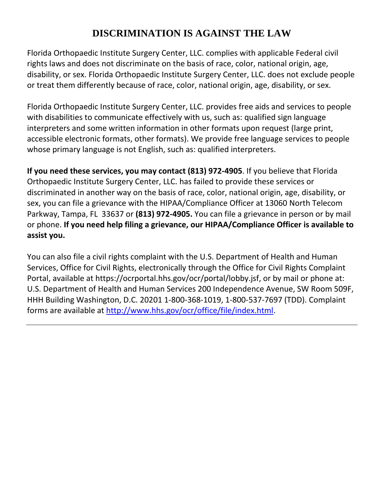## **DISCRIMINATION IS AGAINST THE LAW**

Florida Orthopaedic Institute Surgery Center, LLC. complies with applicable Federal civil rights laws and does not discriminate on the basis of race, color, national origin, age, disability, or sex. Florida Orthopaedic Institute Surgery Center, LLC. does not exclude people or treat them differently because of race, color, national origin, age, disability, or sex.

Florida Orthopaedic Institute Surgery Center, LLC. provides free aids and services to people with disabilities to communicate effectively with us, such as: qualified sign language interpreters and some written information in other formats upon request (large print, accessible electronic formats, other formats). We provide free language services to people whose primary language is not English, such as: qualified interpreters.

**If you need these services, you may contact (813) 972-4905**. If you believe that Florida Orthopaedic Institute Surgery Center, LLC. has failed to provide these services or discriminated in another way on the basis of race, color, national origin, age, disability, or sex, you can file a grievance with the HIPAA/Compliance Officer at 13060 North Telecom Parkway, Tampa, FL 33637 or **(813) 972-4905.** You can file a grievance in person or by mail or phone. **If you need help filing a grievance, our HIPAA/Compliance Officer is available to assist you.**

You can also file a civil rights complaint with the U.S. Department of Health and Human Services, Office for Civil Rights, electronically through the Office for Civil Rights Complaint Portal, available at https://ocrportal.hhs.gov/ocr/portal/lobby.jsf, or by mail or phone at: U.S. Department of Health and Human Services 200 Independence Avenue, SW Room 509F, HHH Building Washington, D.C. 20201 1-800-368-1019, 1-800-537-7697 (TDD). Complaint forms are available at [http://www.hhs.gov/ocr/office/file/index.html.](http://www.hhs.gov/ocr/office/file/index.html)